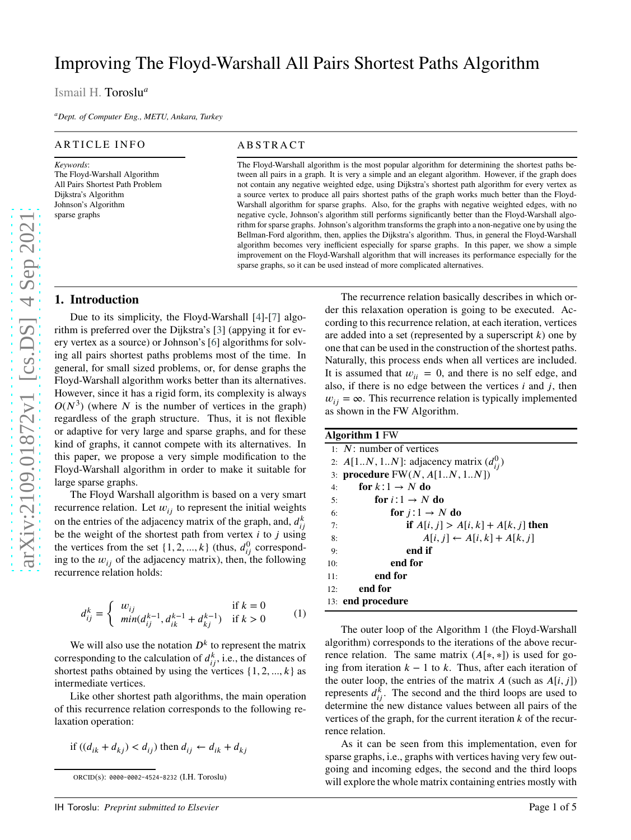# Improving The Floyd-Warshall All Pairs Shortest Paths Algorithm

Ismail H. Toroslu *a*

*<sup>a</sup>Dept. of Computer Eng., METU, Ankara, Turkey*

#### ARTICLE INFO

*Keywords* : The Floyd-Warshall Algorithm All Pairs Shortest Path Problem Dijkstra's Algorithm Johnson's Algorithm sparse graphs

#### **ABSTRACT**

The Floyd-Warshall algorithm is the most popular algorithm for determining the shortest paths between all pairs in a graph. It is very a simple and an elegant algorithm. However, if the graph does not contain any negative weighted edge, using Dijkstra's shortest path algorithm for every vertex as a source vertex to produce all pairs shortest paths of the graph works much better than the Floyd-Warshall algorithm for sparse graphs. Also, for the graphs with negative weighted edges, with no negative cycle, Johnson's algorithm still performs significantly better than the Floyd-Warshall algorithm for sparse graphs. Johnson's algorithm transforms the graph into a non-negative one by using the Bellman-Ford algorithm, then, applies the Dijkstra's algorithm. Thus, in general the Floyd-Warshall algorithm becomes very inefficient especially for sparse graphs. In this paper, we show a simple improvement on the Floyd-Warshall algorithm that will increases its performance especially for the sparse graphs, so it can be used instead of more complicated alternatives.

## **1. Introduction**

Due to its simplicity, the Floyd-Warshall [ [4](#page-4-0)]-[ [7](#page-4-1)] algorithm is preferred over the Dijkstra's [\[3](#page-4-2)] (appying it for every vertex as a source) or Johnson's [\[6](#page-4-3)] algorithms for solving all pairs shortest paths problems most of the time. In general, for small sized problems, or, for dense graphs the Floyd-Warshall algorithm works better than its alternatives. However, since it has a rigid form, its complexity is always  $O(N^3)$  (where N is the number of vertices in the graph) regardless of the graph structure. Thus, it is not flexible or adaptive for very large and sparse graphs, and for these kind of graphs, it cannot compete with its alternatives. In this paper, we propose a very simple modification to the Floyd-Warshall algorithm in order to make it suitable for large sparse graphs.

The Floyd Warshall algorithm is based on a very smart recurrence relation. Let  $w_{ij}$  to represent the initial weights on the entries of the adjacency matrix of the graph, and,  $d_{ij}^k$ be the weight of the shortest path from vertex *i* to *j* using the vertices from the set  $\{1, 2, ..., k\}$  (thus,  $d_{ij}^0$  corresponding to the  $w_{ij}$  of the adjacency matrix), then, the following recurrence relation holds:

$$
d_{ij}^k = \begin{cases} w_{ij} & \text{if } k = 0\\ \min(d_{ij}^{k-1}, d_{ik}^{k-1} + d_{kj}^{k-1}) & \text{if } k > 0 \end{cases}
$$
 (1)

We will also use the notation  $D^k$  to represent the matrix corresponding to the calculation of  $d_{ij}^k$ , i.e., the distances of shortest paths obtained by using the vertices  $\{1, 2, ..., k\}$  as intermediate vertices.

Like other shortest path algorithms, the main operation of this recurrence relation corresponds to the following re laxation operation:

if 
$$
((d_{ik} + d_{kj}) < d_{ij})
$$
 then  $d_{ij} \leftarrow d_{ik} + d_{kj}$ 

ORCID(s): 0000-0002-4524-8232 (I.H. Toroslu)

The recurrence relation basically describes in which order this relaxation operation is going to be executed. According to this recurrence relation, at each iteration, vertices are added into a set (represented by a superscript  $k$ ) one by one that can be used in the construction of the shortest paths . Naturally, this process ends when all vertices are included . It is assumed that  $w_{ii} = 0$ , and there is no self edge, and also, if there is no edge between the vertices *i* and *j*, then  $w_{ij} = \infty$ . This recurrence relation is typically implemented as shown in the FW Algorithm.

|     | Algorithm 1 FW                                 |
|-----|------------------------------------------------|
|     | 1: $N$ : number of vertices                    |
|     | 2: $A[1N, 1N]$ : adjacency matrix $(d_{ii}^0)$ |
|     | 3: <b>procedure</b> $FW(N, A[1N, 1N])$         |
| 4:  | for $k:1 \rightarrow N$ do                     |
| 5:  | for $i:1 \rightarrow N$ do                     |
| 6:  | for $j:1 \rightarrow N$ do                     |
| 7:  | if $A[i, j] > A[i, k] + A[k, j]$ then          |
| 8:  | $A[i, j] \leftarrow A[i, k] + A[k, j]$         |
| 9:  | end if                                         |
| 10: | end for                                        |
| 11: | end for                                        |
| 12: | end for                                        |
|     | 13: end procedure                              |

The outer loop of the Algorithm 1 (the Floyd-Warshall algorithm) corresponds to the iterations of the above recur rence relation. The same matrix  $(A[*,*])$  is used for going from iteration  $k - 1$  to  $k$ . Thus, after each iteration of the outer loop, the entries of the matrix  $A$  (such as  $A[i, j]$ ) represents  $d_{ij}^k$ . The second and the third loops are used to determine the new distance values between all pairs of the vertices of the graph, for the current iteration  $k$  of the recurrence relation.

As it can be seen from this implementation, even for sparse graphs, i.e., graphs with vertices having very few outgoing and incoming edges, the second and the third loops will explore the whole matrix containing entries mostly wit h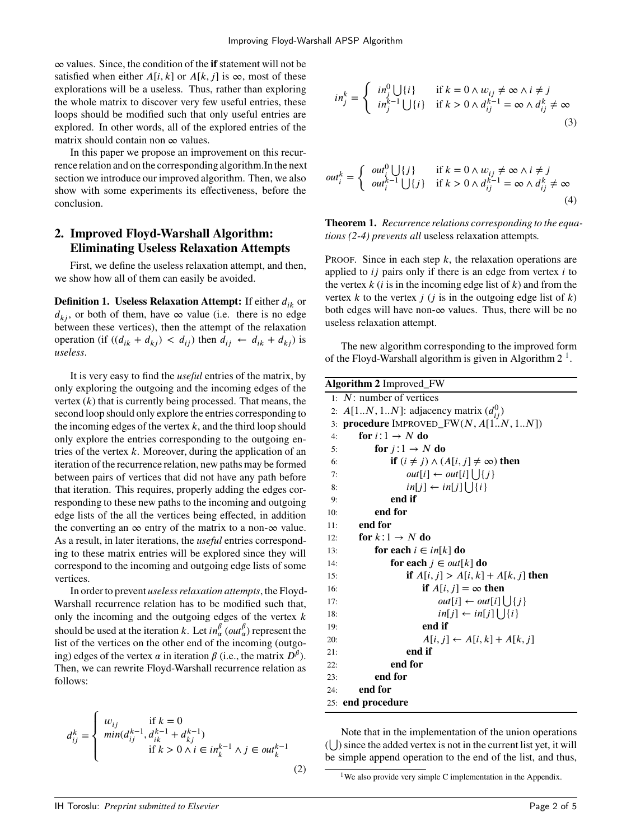∞ values. Since, the condition of the **if** statement will not be satisfied when either  $A[i, k]$  or  $A[k, j]$  is  $\infty$ , most of these explorations will be a useless. Thus, rather than exploring the whole matrix to discover very few useful entries, these loops should be modified such that only useful entries are explored. In other words, all of the explored entries of the matrix should contain non  $\infty$  values.

In this paper we propose an improvement on this recurrence relation and on the corresponding algorithm.Inthe next section we introduce our improved algorithm. Then, we also show with some experiments its effectiveness, before the conclusion.

## **2. Improved Floyd-Warshall Algorithm: Eliminating Useless Relaxation Attempts**

First, we define the useless relaxation attempt, and then, we show how all of them can easily be avoided.

**Definition 1. Useless Relaxation Attempt:** If either  $d_{ik}$  or  $d_{ki}$ , or both of them, have  $\infty$  value (i.e. there is no edge between these vertices), then the attempt of the relaxation operation (if  $((d_{ik} + d_{kj}) < d_{ij})$  then  $d_{ij} \leftarrow d_{ik} + d_{kj})$  is *useless*.

It is very easy to find the *useful* entries of the matrix, by only exploring the outgoing and the incoming edges of the vertex  $(k)$  that is currently being processed. That means, the second loop should only explore the entries corresponding to the incoming edges of the vertex  $k$ , and the third loop should only explore the entries corresponding to the outgoing entries of the vertex  $k$ . Moreover, during the application of an iteration of the recurrence relation, new paths may be formed between pairs of vertices that did not have any path before that iteration. This requires, properly adding the edges corresponding to these new paths to the incoming and outgoing edge lists of the all the vertices being effected, in addition the converting an  $\infty$  entry of the matrix to a non- $\infty$  value. As a result, in later iterations, the *useful* entries corresponding to these matrix entries will be explored since they will correspond to the incoming and outgoing edge lists of some vertices.

In order to prevent *useless relaxation attempts*, the Floyd-Warshall recurrence relation has to be modified such that, only the incoming and the outgoing edges of the vertex  $$ should be used at the iteration *k*. Let  $in_{\alpha}^{\beta}$  ( $out_{\alpha}^{\beta}$ ) represent the list of the vertices on the other end of the incoming (outgoing) edges of the vertex  $\alpha$  in iteration  $\beta$  (i.e., the matrix  $D^{\beta}$ ). Then, we can rewrite Floyd-Warshall recurrence relation as follows:

$$
d_{ij}^k = \begin{cases} w_{ij} & \text{if } k = 0\\ \min(d_{ij}^{k-1}, d_{ik}^{k-1} + d_{kj}^{k-1}) \\ & \text{if } k > 0 \land i \in \mathfrak{in}_k^{k-1} \land j \in \mathfrak{out}_k^{k-1} \end{cases}
$$
(2)

$$
in_j^k = \begin{cases} in_j^0 \bigcup \{i\} & \text{if } k = 0 \land w_{ij} \neq \infty \land i \neq j \\ in_j^{k-1} \bigcup \{i\} & \text{if } k > 0 \land d_{ij}^{k-1} = \infty \land d_{ij}^k \neq \infty \end{cases} \tag{3}
$$

$$
out_i^k = \begin{cases} out_i^0 \bigcup \{j\} & \text{if } k = 0 \land w_{ij} \neq \infty \land i \neq j \\ out_i^{k-1} \bigcup \{j\} & \text{if } k > 0 \land d_{ij}^{k-1} = \infty \land d_{ij}^k \neq \infty \end{cases}
$$
(4)

**Theorem 1.** *Recurrence relations corresponding to the equations (2-4) prevents all* useless relaxation attempts*.*

PROOF. Since in each step *k*, the relaxation operations are applied to *ij* pairs only if there is an edge from vertex *i* to the vertex  $k$  ( $i$  is in the incoming edge list of  $k$ ) and from the vertex  $k$  to the vertex  $j$  ( $j$  is in the outgoing edge list of  $k$ ) both edges will have non- $\infty$  values. Thus, there will be no useless relaxation attempt.

The new algorithm corresponding to the improved form of the Floyd-Warshall algorithm is given in Algorithm  $2<sup>1</sup>$  $2<sup>1</sup>$  $2<sup>1</sup>$ .

| <b>Algorithm 2 Improved_FW</b> |                                                                   |  |  |  |  |
|--------------------------------|-------------------------------------------------------------------|--|--|--|--|
|                                | $1: N:$ number of vertices                                        |  |  |  |  |
|                                | 2: $A[1N, 1N]$ : adjacency matrix $(d_{ii}^0)$                    |  |  |  |  |
|                                | 3: <b>procedure</b> IMPROVED_FW $(N, A[1N, 1N])$                  |  |  |  |  |
| 4:                             | for $i:1 \rightarrow N$ do                                        |  |  |  |  |
| 5:                             | for $j:1 \rightarrow N$ do                                        |  |  |  |  |
| 6:                             | if $(i \neq j) \wedge (A[i, j] \neq \infty)$ then                 |  |  |  |  |
| 7:                             | <i>out</i> [ <i>i</i> ] ← <i>out</i> [ <i>i</i> ] $\bigcup \{j\}$ |  |  |  |  |
| 8:                             | $in[j] \leftarrow in[j] \cup \{i\}$                               |  |  |  |  |
| 9:                             | end if                                                            |  |  |  |  |
| 10:                            | end for                                                           |  |  |  |  |
| 11:                            | end for                                                           |  |  |  |  |
| 12:                            | for $k:1 \rightarrow N$ do                                        |  |  |  |  |
| 13:                            | for each $i \in \mathbb{R}[k]$ do                                 |  |  |  |  |
| 14:                            | for each $j \in \text{out}[k]$ do                                 |  |  |  |  |
| 15:                            | <b>if</b> $A[i, j] > A[i, k] + A[k, j]$ then                      |  |  |  |  |
| 16:                            | if $A[i, j] = \infty$ then                                        |  |  |  |  |
| 17:                            | $out[i] \leftarrow out[i] \cup \{j\}$                             |  |  |  |  |
| 18:                            | $in[j] \leftarrow in[j] \cup \{i\}$                               |  |  |  |  |
| 19:                            | end if                                                            |  |  |  |  |
| 20:                            | $A[i, j] \leftarrow A[i, k] + A[k, j]$                            |  |  |  |  |
| 21:                            | end if                                                            |  |  |  |  |
| 22:                            | end for                                                           |  |  |  |  |
| 23:                            | end for                                                           |  |  |  |  |
| 24:                            | end for                                                           |  |  |  |  |
|                                | 25: end procedure                                                 |  |  |  |  |

Note that in the implementation of the union operations ( ⋃ ) since the added vertex is not in the current list yet, it will be simple append operation to the end of the list, and thus,

<span id="page-1-0"></span><sup>1</sup>We also provide very simple C implementation in the Appendix.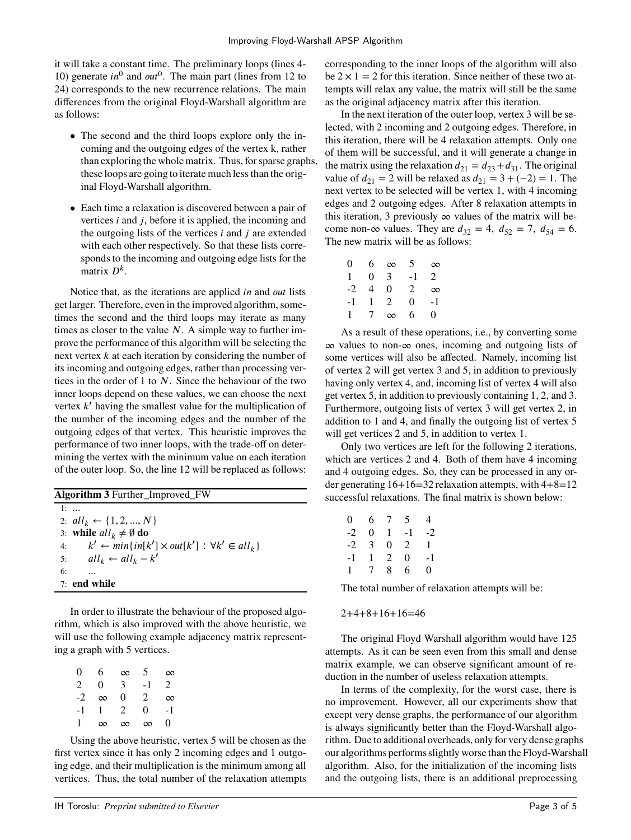it will take a constant time. The preliminary loops (lines 4- 10) generate  $in^0$  and  $out^0$ . The main part (lines from 12 to 24) corresponds to the new recurrence relations. The main differences from the original Floyd-Warshall algorithm are as follows:

- The second and the third loops explore only the incoming and the outgoing edges of the vertex k, rather than exploring the whole matrix. Thus, for sparse graphs, these loops are going to iterate much less than the original Floyd-Warshall algorithm.
- Each time a relaxation is discovered between a pair of vertices *i* and *j*, before it is applied, the incoming and the outgoing lists of the vertices *i* and *j* are extended with each other respectively. So that these lists corresponds to the incoming and outgoing edge lists for the matrix  $D^k$ .

Notice that, as the iterations are applied *in* and *out* lists get larger. Therefore, even in the improved algorithm, sometimes the second and the third loops may iterate as many times as closer to the value *. A simple way to further im*prove the performance of this algorithm will be selecting the next vertex *k* at each iteration by considering the number of its incoming and outgoing edges, rather than processing vertices in the order of 1 to  $N$ . Since the behaviour of the two inner loops depend on these values, we can choose the next vertex *k*<sup>*'*</sup> having the smallest value for the multiplication of the number of the incoming edges and the number of the outgoing edges of that vertex. This heuristic improves the performance of two inner loops, with the trade-off on determining the vertex with the minimum value on each iteration of the outer loop. So, the line 12 will be replaced as follows:

| <b>Algorithm 3</b> Further Improved FW                                    |  |  |  |  |  |
|---------------------------------------------------------------------------|--|--|--|--|--|
| 1:                                                                        |  |  |  |  |  |
| 2: $all_k \leftarrow \{1, 2, , N\}$                                       |  |  |  |  |  |
| 3: while $all_k \neq \emptyset$ do                                        |  |  |  |  |  |
| $k' \leftarrow min\{in[k'] \times out[k'] : \forall k' \in all_k\}$<br>4: |  |  |  |  |  |
| $all_k \leftarrow all_k - k'$<br>5:                                       |  |  |  |  |  |
| 6:                                                                        |  |  |  |  |  |
| $7:$ end while                                                            |  |  |  |  |  |
|                                                                           |  |  |  |  |  |

In order to illustrate the behaviour of the proposed algorithm, which is also improved with the above heuristic, we will use the following example adjacency matrix representing a graph with 5 vertices.

| 0  | 6        | $\infty$ | 5              | $\infty$ |
|----|----------|----------|----------------|----------|
| 2  | 0        | 3        | - 1            | 2        |
| -2 | $\infty$ | 0        | $\mathfrak{D}$ | $\infty$ |
| -1 | 1        | 2        | 0              | - 1      |
| 1  | $\infty$ | $\infty$ | $\infty$       | 0        |

Using the above heuristic, vertex 5 will be chosen as the first vertex since it has only 2 incoming edges and 1 outgoing edge, and their multiplication is the minimum among all vertices. Thus, the total number of the relaxation attempts

corresponding to the inner loops of the algorithm will also be  $2 \times 1 = 2$  for this iteration. Since neither of these two attempts will relax any value, the matrix will still be the same as the original adjacency matrix after this iteration.

In the next iteration of the outer loop, vertex 3 will be selected, with 2 incoming and 2 outgoing edges. Therefore, in this iteration, there will be 4 relaxation attempts. Only one of them will be successful, and it will generate a change in the matrix using the relaxation  $d_{21} = d_{23} + d_{31}$ . The original value of  $d_{21} = 2$  will be relaxed as  $d_{21} = 3 + (-2) = 1$ . The next vertex to be selected will be vertex 1, with 4 incoming edges and 2 outgoing edges. After 8 relaxation attempts in this iteration, 3 previously  $\infty$  values of the matrix will become non-∞ values. They are  $d_{32} = 4$ ,  $d_{52} = 7$ ,  $d_{54} = 6$ . The new matrix will be as follows:

| 0   | 6 | $\infty$ | 5  | $\infty$ |
|-----|---|----------|----|----------|
| 1   | 0 | 3        | -1 | 2        |
| -2  | 4 | 0        | 2  | $\infty$ |
| - 1 | 1 | 2        | 0  | - 1      |
| 1   | 7 | $\infty$ | 6  | $_{0}$   |

As a result of these operations, i.e., by converting some ∞ values to non-∞ ones, incoming and outgoing lists of some vertices will also be affected. Namely, incoming list of vertex 2 will get vertex 3 and 5, in addition to previously having only vertex 4, and, incoming list of vertex 4 will also get vertex 5, in addition to previously containing 1, 2, and 3. Furthermore, outgoing lists of vertex 3 will get vertex 2, in addition to 1 and 4, and finally the outgoing list of vertex 5 will get vertices 2 and 5, in addition to vertex 1.

Only two vertices are left for the following 2 iterations, which are vertices 2 and 4. Both of them have 4 incoming and 4 outgoing edges. So, they can be processed in any order generating  $16+16=32$  relaxation attempts, with  $4+8=12$ successful relaxations. The final matrix is shown below:

| 0         |                | 6 7            | 5              | $\overline{4}$ |
|-----------|----------------|----------------|----------------|----------------|
| $-2$      | 0              | 1              | $-1$           | $-2$           |
| -2        | $\overline{3}$ | 0              | $\overline{2}$ | $\mathbf{1}$   |
| -1        | 1              | $\overline{2}$ | 0              | -1             |
| $1 \quad$ | $\tau$         | 8              | 6              | 0              |

The total number of relaxation attempts will be:

 $2+4+8+16+16=46$ 

The original Floyd Warshall algorithm would have 125 attempts. As it can be seen even from this small and dense matrix example, we can observe significant amount of reduction in the number of useless relaxation attempts.

In terms of the complexity, for the worst case, there is no improvement. However, all our experiments show that except very dense graphs, the performance of our algorithm is always significantly better than the Floyd-Warshall algorithm. Due to additional overheads, only for very dense graphs our algorithms performs slightly worse than the Floyd-Warshall algorithm. Also, for the initialization of the incoming lists and the outgoing lists, there is an additional preprocessing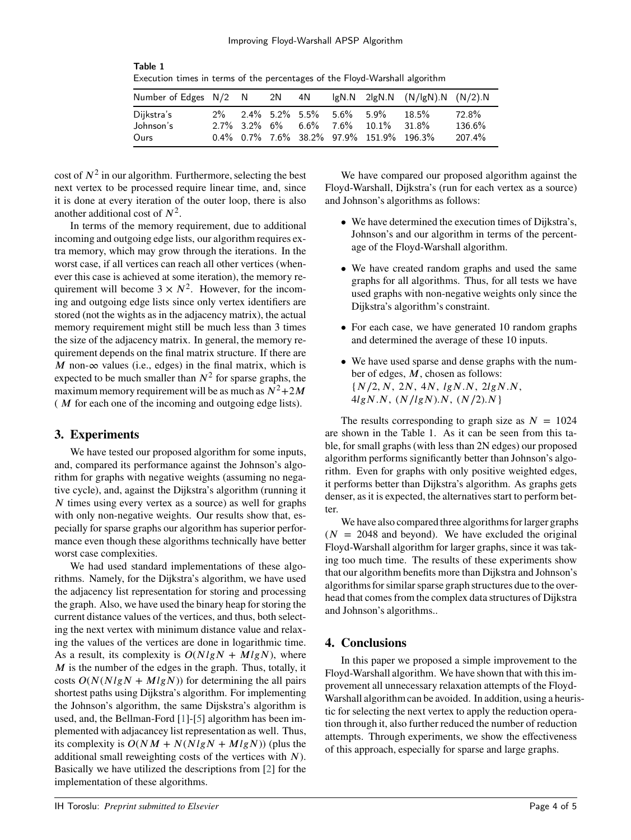| EXCEDITOR DRIVES IN TERMS OF THE PERCHARGES OF THE FRONT-VVALSHAM AIGONTUM |  |  |  |  |                             |                                             |                                    |        |
|----------------------------------------------------------------------------|--|--|--|--|-----------------------------|---------------------------------------------|------------------------------------|--------|
| Number of Edges N/2 N 2N 4N                                                |  |  |  |  |                             |                                             | $lgN.N$ 2lgN.N $(N/lgN).N (N/2).N$ |        |
| Dijkstra's                                                                 |  |  |  |  | 2% 2.4% 5.2% 5.5% 5.6% 5.9% |                                             | 18.5%                              | 72.8%  |
| Johnson's                                                                  |  |  |  |  |                             | $2.7\%$ 3.2\% 6\% 6.6\% 7.6\% 10.1\% 31.8\% |                                    | 136.6% |
| Ours                                                                       |  |  |  |  |                             | $0.4\%$ 0.7% 7.6% 38.2% 97.9% 151.9% 196.3% |                                    | 207.4% |

Table 1 Execution times in terms of the percentages of the Floyd-Warshall algorithm

cost of  $N^2$  in our algorithm. Furthermore, selecting the best next vertex to be processed require linear time, and, since it is done at every iteration of the outer loop, there is also another additional cost of  $N^2$ .

In terms of the memory requirement, due to additional incoming and outgoing edge lists, our algorithm requires extra memory, which may grow through the iterations. In the worst case, if all vertices can reach all other vertices (whenever this case is achieved at some iteration), the memory requirement will become  $3 \times N^2$ . However, for the incoming and outgoing edge lists since only vertex identifiers are stored (not the wights as in the adjacency matrix), the actual memory requirement might still be much less than 3 times the size of the adjacency matrix. In general, the memory requirement depends on the final matrix structure. If there are  $M$  non- $\infty$  values (i.e., edges) in the final matrix, which is expected to be much smaller than  $N^2$  for sparse graphs, the maximum memory requirement will be as much as  $N^2+2M$ (*M* for each one of the incoming and outgoing edge lists).

## **3. Experiments**

We have tested our proposed algorithm for some inputs, and, compared its performance against the Johnson's algorithm for graphs with negative weights (assuming no negative cycle), and, against the Dijkstra's algorithm (running it *N* times using every vertex as a source) as well for graphs with only non-negative weights. Our results show that, especially for sparse graphs our algorithm has superior performance even though these algorithms technically have better worst case complexities.

We had used standard implementations of these algorithms. Namely, for the Dijkstra's algorithm, we have used the adjacency list representation for storing and processing the graph. Also, we have used the binary heap for storing the current distance values of the vertices, and thus, both selecting the next vertex with minimum distance value and relaxing the values of the vertices are done in logarithmic time. As a result, its complexity is  $O(NlgN + MlgN)$ , where *M* is the number of the edges in the graph. Thus, totally, it costs  $O(N(NlgN + MlgN))$  for determining the all pairs shortest paths using Dijkstra's algorithm. For implementing the Johnson's algorithm, the same Dijskstra's algorithm is used, and, the Bellman-Ford [\[1\]](#page-4-4)-[\[5\]](#page-4-5) algorithm has been implemented with adjacancey list representation as well. Thus, its complexity is  $O(NM + N(NlgN + MlgN))$  (plus the additional small reweighting costs of the vertices with *).* Basically we have utilized the descriptions from [\[2](#page-4-6)] for the implementation of these algorithms.

We have compared our proposed algorithm against the Floyd-Warshall, Dijkstra's (run for each vertex as a source) and Johnson's algorithms as follows:

- We have determined the execution times of Dijkstra's, Johnson's and our algorithm in terms of the percentage of the Floyd-Warshall algorithm.
- We have created random graphs and used the same graphs for all algorithms. Thus, for all tests we have used graphs with non-negative weights only since the Dijkstra's algorithm's constraint.
- For each case, we have generated 10 random graphs and determined the average of these 10 inputs.
- We have used sparse and dense graphs with the number of edges,  $M$ , chosen as follows: {*𝑁*∕2*, 𝑁,* 2*𝑁,* 4*𝑁, 𝑙𝑔𝑁.𝑁,* 2*𝑙𝑔𝑁.𝑁,*  $4lgN.N, (N/lgN).N, (N/2).N$

The results corresponding to graph size as  $N = 1024$ are shown in the Table 1. As it can be seen from this table, for small graphs (with less than 2N edges) our proposed algorithm performs significantly better than Johnson's algorithm. Even for graphs with only positive weighted edges, it performs better than Dijkstra's algorithm. As graphs gets denser, as it is expected, the alternatives start to perform better.

We have also compared three algorithms for larger graphs  $(N = 2048$  and beyond). We have excluded the original Floyd-Warshall algorithm for larger graphs, since it was taking too much time. The results of these experiments show that our algorithm benefits more than Dijkstra and Johnson's algorithms for similar sparse graph structures due to the overhead that comes from the complex data structures of Dijkstra and Johnson's algorithms..

## **4. Conclusions**

In this paper we proposed a simple improvement to the Floyd-Warshall algorithm. We have shown that with this improvement all unnecessary relaxation attempts of the Floyd-Warshall algorithm can be avoided. In addition, using a heuristic for selecting the next vertex to apply the reduction operation through it, also further reduced the number of reduction attempts. Through experiments, we show the effectiveness of this approach, especially for sparse and large graphs.